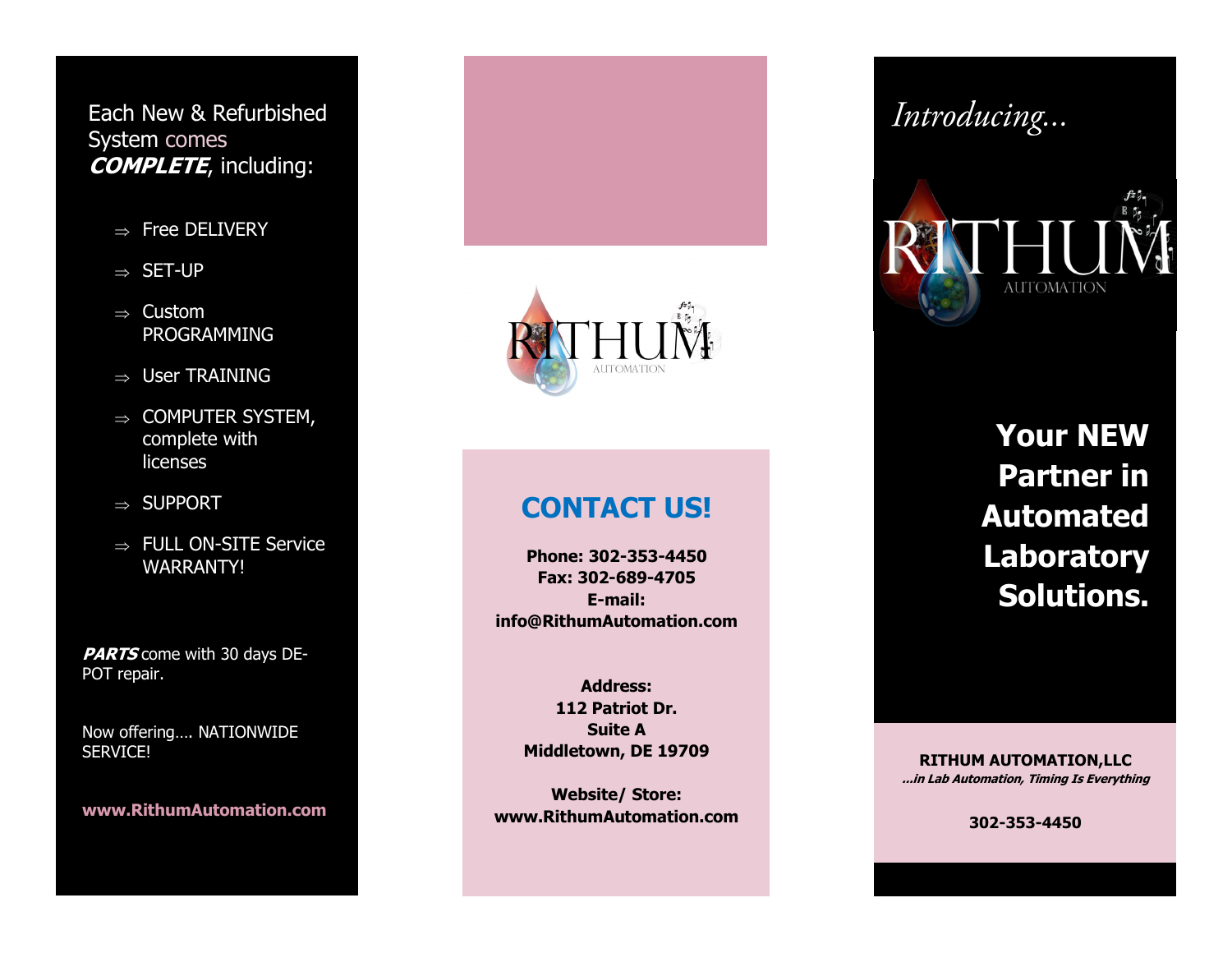Each New & Refurbished System comes **COMPLETE**, including:

- $\Rightarrow$  Free DELIVERY
- $\Rightarrow$  SET-UP
- $\Rightarrow$  Custom PROGRAMMING
- $\Rightarrow$  User TRAINING
- $\Rightarrow$  COMPUTER SYSTEM, complete with licenses
- $\Rightarrow$  SUPPORT
- $\Rightarrow$  FULL ON-SITE Service WARRANTY!

**PARTS** come with 30 days DE-POT repair.

Now offering…. NATIONWIDE SERVICE!

**www.RithumAutomation.com**



# Introducing...



**Your NEW Partner in Automated Laboratory Solutions.**

**CONTACT US!**

**Phone: 302-353-4450 Fax: 302-689-4705 E-mail: info@RithumAutomation.com**

> **Address: 112 Patriot Dr. Suite A Middletown, DE 19709**

**Website/ Store: www.RithumAutomation.com**

**RITHUM AUTOMATION,LLC ...in Lab Automation, Timing Is Everything**

**302-353-4450**